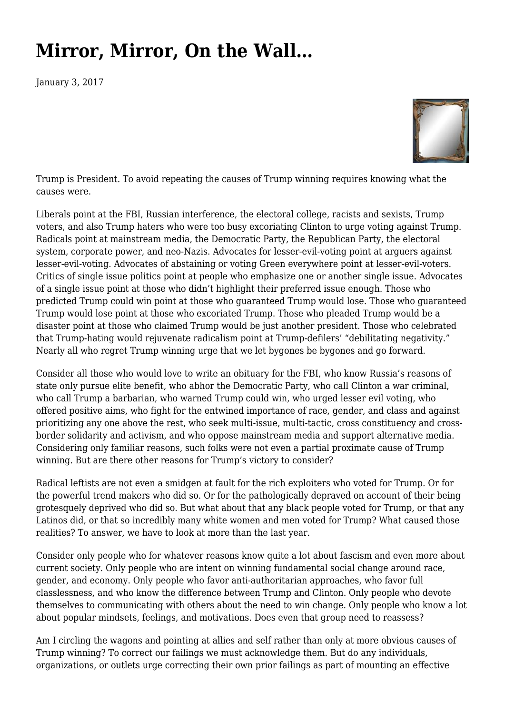## **[Mirror, Mirror, On the Wall…](https://newpol.org/mirror-mirror-wall/)**

January 3, 2017



Trump is President. To avoid repeating the causes of Trump winning requires knowing what the causes were.

Liberals point at the FBI, Russian interference, the electoral college, racists and sexists, Trump voters, and also Trump haters who were too busy excoriating Clinton to urge voting against Trump. Radicals point at mainstream media, the Democratic Party, the Republican Party, the electoral system, corporate power, and neo-Nazis. Advocates for lesser-evil-voting point at arguers against lesser-evil-voting. Advocates of abstaining or voting Green everywhere point at lesser-evil-voters. Critics of single issue politics point at people who emphasize one or another single issue. Advocates of a single issue point at those who didn't highlight their preferred issue enough. Those who predicted Trump could win point at those who guaranteed Trump would lose. Those who guaranteed Trump would lose point at those who excoriated Trump. Those who pleaded Trump would be a disaster point at those who claimed Trump would be just another president. Those who celebrated that Trump-hating would rejuvenate radicalism point at Trump-defilers' "debilitating negativity." Nearly all who regret Trump winning urge that we let bygones be bygones and go forward.

Consider all those who would love to write an obituary for the FBI, who know Russia's reasons of state only pursue elite benefit, who abhor the Democratic Party, who call Clinton a war criminal, who call Trump a barbarian, who warned Trump could win, who urged lesser evil voting, who offered positive aims, who fight for the entwined importance of race, gender, and class and against prioritizing any one above the rest, who seek multi-issue, multi-tactic, cross constituency and crossborder solidarity and activism, and who oppose mainstream media and support alternative media. Considering only familiar reasons, such folks were not even a partial proximate cause of Trump winning. But are there other reasons for Trump's victory to consider?

Radical leftists are not even a smidgen at fault for the rich exploiters who voted for Trump. Or for the powerful trend makers who did so. Or for the pathologically depraved on account of their being grotesquely deprived who did so. But what about that any black people voted for Trump, or that any Latinos did, or that so incredibly many white women and men voted for Trump? What caused those realities? To answer, we have to look at more than the last year.

Consider only people who for whatever reasons know quite a lot about fascism and even more about current society. Only people who are intent on winning fundamental social change around race, gender, and economy. Only people who favor anti-authoritarian approaches, who favor full classlessness, and who know the difference between Trump and Clinton. Only people who devote themselves to communicating with others about the need to win change. Only people who know a lot about popular mindsets, feelings, and motivations. Does even that group need to reassess?

Am I circling the wagons and pointing at allies and self rather than only at more obvious causes of Trump winning? To correct our failings we must acknowledge them. But do any individuals, organizations, or outlets urge correcting their own prior failings as part of mounting an effective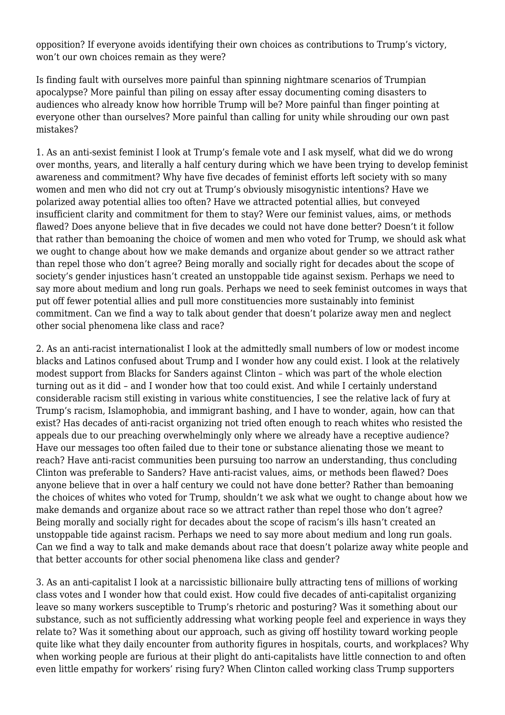opposition? If everyone avoids identifying their own choices as contributions to Trump's victory, won't our own choices remain as they were?

Is finding fault with ourselves more painful than spinning nightmare scenarios of Trumpian apocalypse? More painful than piling on essay after essay documenting coming disasters to audiences who already know how horrible Trump will be? More painful than finger pointing at everyone other than ourselves? More painful than calling for unity while shrouding our own past mistakes?

1. As an anti-sexist feminist I look at Trump's female vote and I ask myself, what did we do wrong over months, years, and literally a half century during which we have been trying to develop feminist awareness and commitment? Why have five decades of feminist efforts left society with so many women and men who did not cry out at Trump's obviously misogynistic intentions? Have we polarized away potential allies too often? Have we attracted potential allies, but conveyed insufficient clarity and commitment for them to stay? Were our feminist values, aims, or methods flawed? Does anyone believe that in five decades we could not have done better? Doesn't it follow that rather than bemoaning the choice of women and men who voted for Trump, we should ask what we ought to change about how we make demands and organize about gender so we attract rather than repel those who don't agree? Being morally and socially right for decades about the scope of society's gender injustices hasn't created an unstoppable tide against sexism. Perhaps we need to say more about medium and long run goals. Perhaps we need to seek feminist outcomes in ways that put off fewer potential allies and pull more constituencies more sustainably into feminist commitment. Can we find a way to talk about gender that doesn't polarize away men and neglect other social phenomena like class and race?

2. As an anti-racist internationalist I look at the admittedly small numbers of low or modest income blacks and Latinos confused about Trump and I wonder how any could exist. I look at the relatively modest support from Blacks for Sanders against Clinton – which was part of the whole election turning out as it did – and I wonder how that too could exist. And while I certainly understand considerable racism still existing in various white constituencies, I see the relative lack of fury at Trump's racism, Islamophobia, and immigrant bashing, and I have to wonder, again, how can that exist? Has decades of anti-racist organizing not tried often enough to reach whites who resisted the appeals due to our preaching overwhelmingly only where we already have a receptive audience? Have our messages too often failed due to their tone or substance alienating those we meant to reach? Have anti-racist communities been pursuing too narrow an understanding, thus concluding Clinton was preferable to Sanders? Have anti-racist values, aims, or methods been flawed? Does anyone believe that in over a half century we could not have done better? Rather than bemoaning the choices of whites who voted for Trump, shouldn't we ask what we ought to change about how we make demands and organize about race so we attract rather than repel those who don't agree? Being morally and socially right for decades about the scope of racism's ills hasn't created an unstoppable tide against racism. Perhaps we need to say more about medium and long run goals. Can we find a way to talk and make demands about race that doesn't polarize away white people and that better accounts for other social phenomena like class and gender?

3. As an anti-capitalist I look at a narcissistic billionaire bully attracting tens of millions of working class votes and I wonder how that could exist. How could five decades of anti-capitalist organizing leave so many workers susceptible to Trump's rhetoric and posturing? Was it something about our substance, such as not sufficiently addressing what working people feel and experience in ways they relate to? Was it something about our approach, such as giving off hostility toward working people quite like what they daily encounter from authority figures in hospitals, courts, and workplaces? Why when working people are furious at their plight do anti-capitalists have little connection to and often even little empathy for workers' rising fury? When Clinton called working class Trump supporters